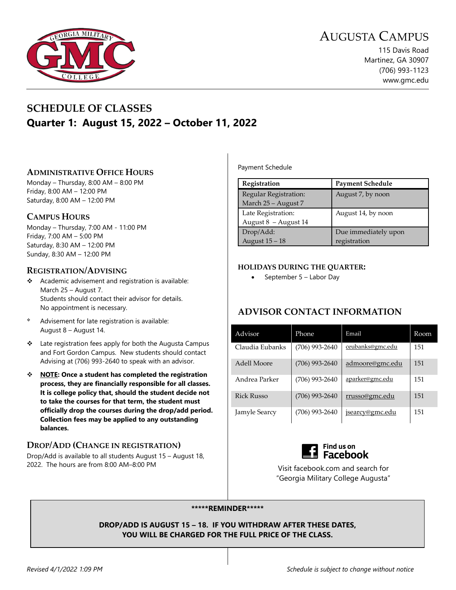

115 Davis Road Martinez, GA 30907 (706) 993-1123 www.gmc.edu

## **SCHEDULE OF CLASSES Quarter 1: August 15, 2022 – October 11, 2022**

#### **ADMINISTRATIVE OFFICE HOURS**

Monday – Thursday, 8:00 AM – 8:00 PM Friday, 8:00 AM – 12:00 PM Saturday, 8:00 AM – 12:00 PM

#### **CAMPUS HOURS**

Monday – Thursday, 7:00 AM - 11:00 PM Friday, 7:00 AM – 5:00 PM Saturday, 8:30 AM – 12:00 PM Sunday, 8:30 AM – 12:00 PM

#### **REGISTRATION/ADVISING**

- $\triangleleft$  Academic advisement and registration is available: March 25 – August 7. Students should contact their advisor for details. No appointment is necessary.
- Advisement for late registration is available: August 8 – August 14.
- Late registration fees apply for both the Augusta Campus and Fort Gordon Campus. New students should contact Advising at (706) 993-2640 to speak with an advisor.
- **NOTE: Once a student has completed the registration process, they are financially responsible for all classes. It is college policy that, should the student decide not to take the courses for that term, the student must officially drop the courses during the drop/add period. Collection fees may be applied to any outstanding balances.**

#### **DROP/ADD (CHANGE IN REGISTRATION)**

Drop/Add is available to all students August 15 – August 18, 2022. The hours are from 8:00 AM–8:00 PM

Payment Schedule

| Registration                                 | <b>Payment Schedule</b>              |
|----------------------------------------------|--------------------------------------|
| Regular Registration:<br>March 25 - August 7 | August 7, by noon                    |
| Late Registration:<br>August 8 - August 14   | August 14, by noon                   |
| Drop/Add:<br>August 15 - 18                  | Due immediately upon<br>registration |

#### **HOLIDAYS DURING THE QUARTER:**

• September 5 – Labor Day

#### **ADVISOR CONTACT INFORMATION**

| Advisor         | Phone            | Email                  | Room |
|-----------------|------------------|------------------------|------|
| Claudia Eubanks | $(706)$ 993-2640 | ceubanks@gmc.edu       | 151  |
| Adell Moore     | $(706)$ 993-2640 | admoore@gmc.edu        | 151  |
| Andrea Parker   | (706) 993-2640   | <u>aparker@gmc.edu</u> | 151  |
| Rick Russo      | $(706)$ 993-2640 | rrusso@gmc.edu         | 151  |
| Jamyle Searcy   | (706) 993-2640   | <u>jsearcy@gmc.edu</u> | 151  |



Visit facebook.com and search for "Georgia Military College Augusta"

#### **\*\*\*\*\*REMINDER\*\*\*\*\***

**DROP/ADD IS AUGUST 15 – 18. IF YOU WITHDRAW AFTER THESE DATES, YOU WILL BE CHARGED FOR THE FULL PRICE OF THE CLASS.**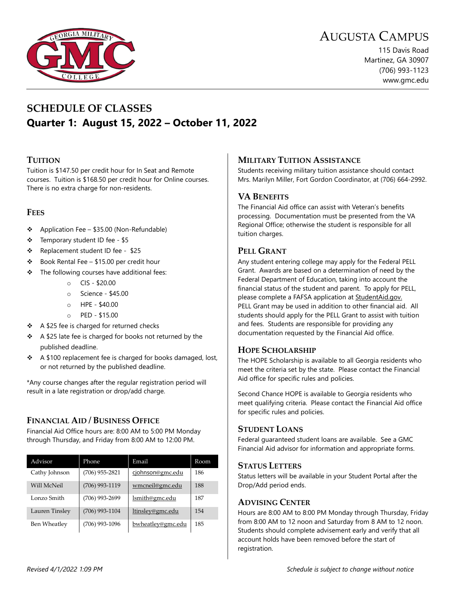

115 Davis Road Martinez, GA 30907 (706) 993-1123 www.gmc.edu



## **SCHEDULE OF CLASSES Quarter 1: August 15, 2022 – October 11, 2022**

#### **TUITION**

Tuition is \$147.50 per credit hour for In Seat and Remote courses. Tuition is \$168.50 per credit hour for Online courses. There is no extra charge for non-residents.

#### **FEES**

- $\div$  Application Fee \$35.00 (Non-Refundable)
- Temporary student ID fee \$5
- ❖ Replacement student ID fee \$25
- $\div$  Book Rental Fee \$15.00 per credit hour
- $\div$  The following courses have additional fees:
	- o CIS \$20.00
	- o Science \$45.00
	- o HPE \$40.00
	- o PED \$15.00
- $\div$  A \$25 fee is charged for returned checks
- $\div$  A \$25 late fee is charged for books not returned by the published deadline.
- $\div$  A \$100 replacement fee is charged for books damaged, lost, or not returned by the published deadline.

\*Any course changes after the regular registration period will result in a late registration or drop/add charge.

#### **FINANCIAL AID / BUSINESS OFFICE**

Financial Aid Office hours are: 8:00 AM to 5:00 PM Monday through Thursday, and Friday from 8:00 AM to 12:00 PM.

| Advisor        | Phone            | Email             | Room |
|----------------|------------------|-------------------|------|
| Cathy Johnson  | $(706)$ 955-2821 | cjohnson@gmc.edu  | 186  |
| Will McNeil    | $(706)$ 993-1119 | wmcneil@gmc.edu   | 188  |
| Lonzo Smith    | $(706)$ 993-2699 | lsmith@gmc.edu    | 187  |
| Lauren Tinsley | $(706)$ 993-1104 | ltinsley@gmc.edu  | 154  |
| Ben Wheatley   | $(706)$ 993-1096 | bwheatley@gmc.edu | 185  |

#### **MILITARY TUITION ASSISTANCE**

Students receiving military tuition assistance should contact Mrs. Marilyn Miller, Fort Gordon Coordinator, at (706) 664-2992.

#### **VA BENEFITS**

The Financial Aid office can assist with Veteran's benefits processing. Documentation must be presented from the VA Regional Office; otherwise the student is responsible for all tuition charges.

#### **PELL GRANT**

Any student entering college may apply for the Federal PELL Grant. Awards are based on a determination of need by the Federal Department of Education, taking into account the financial status of the student and parent. To apply for PELL, please complete a FAFSA application at StudentAid.gov. PELL Grant may be used in addition to other financial aid. All students should apply for the PELL Grant to assist with tuition and fees. Students are responsible for providing any documentation requested by the Financial Aid office.

#### **HOPE SCHOLARSHIP**

The HOPE Scholarship is available to all Georgia residents who meet the criteria set by the state. Please contact the Financial Aid office for specific rules and policies.

Second Chance HOPE is available to Georgia residents who meet qualifying criteria. Please contact the Financial Aid office for specific rules and policies.

#### **STUDENT LOANS**

Federal guaranteed student loans are available. See a GMC Financial Aid advisor for information and appropriate forms.

#### **STATUS LETTERS**

Status letters will be available in your Student Portal after the Drop/Add period ends.

#### **ADVISING CENTER**

Hours are 8:00 AM to 8:00 PM Monday through Thursday, Friday from 8:00 AM to 12 noon and Saturday from 8 AM to 12 noon. Students should complete advisement early and verify that all account holds have been removed before the start of registration.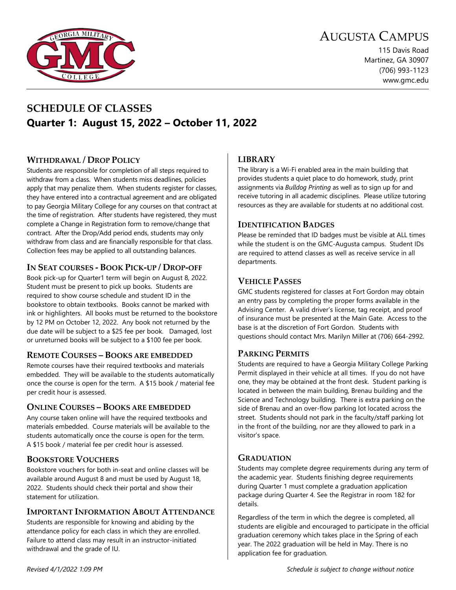

115 Davis Road Martinez, GA 30907 (706) 993-1123 www.gmc.edu

## **SCHEDULE OF CLASSES Quarter 1: August 15, 2022 – October 11, 2022**

#### **WITHDRAWAL / DROP POLICY**

Students are responsible for completion of all steps required to withdraw from a class. When students miss deadlines, policies apply that may penalize them. When students register for classes, they have entered into a contractual agreement and are obligated to pay Georgia Military College for any courses on that contract at the time of registration. After students have registered, they must complete a Change in Registration form to remove/change that contract. After the Drop/Add period ends, students may only withdraw from class and are financially responsible for that class. Collection fees may be applied to all outstanding balances.

#### **IN SEAT COURSES - BOOK PICK-UP / DROP-OFF**

Book pick-up for Quarter1 term will begin on August 8, 2022. Student must be present to pick up books. Students are required to show course schedule and student ID in the bookstore to obtain textbooks. Books cannot be marked with ink or highlighters. All books must be returned to the bookstore by 12 PM on October 12, 2022. Any book not returned by the due date will be subject to a \$25 fee per book. Damaged, lost or unreturned books will be subject to a \$100 fee per book.

#### **REMOTE COURSES – BOOKS ARE EMBEDDED**

Remote courses have their required textbooks and materials embedded. They will be available to the students automatically once the course is open for the term. A \$15 book / material fee per credit hour is assessed.

#### **ONLINE COURSES – BOOKS ARE EMBEDDED**

Any course taken online will have the required textbooks and materials embedded. Course materials will be available to the students automatically once the course is open for the term. A \$15 book / material fee per credit hour is assessed.

#### **BOOKSTORE VOUCHERS**

Bookstore vouchers for both in-seat and online classes will be available around August 8 and must be used by August 18, 2022. Students should check their portal and show their statement for utilization.

#### **IMPORTANT INFORMATION ABOUT ATTENDANCE**

Students are responsible for knowing and abiding by the attendance policy for each class in which they are enrolled. Failure to attend class may result in an instructor-initiated withdrawal and the grade of IU.

#### **LIBRARY**

The library is a Wi-Fi enabled area in the main building that provides students a quiet place to do homework, study, print assignments via *Bulldog Printing* as well as to sign up for and receive tutoring in all academic disciplines. Please utilize tutoring resources as they are available for students at no additional cost.

#### **IDENTIFICATION BADGES**

Please be reminded that ID badges must be visible at ALL times while the student is on the GMC-Augusta campus. Student IDs are required to attend classes as well as receive service in all departments.

#### **VEHICLE PASSES**

GMC students registered for classes at Fort Gordon may obtain an entry pass by completing the proper forms available in the Advising Center. A valid driver's license, tag receipt, and proof of insurance must be presented at the Main Gate. Access to the base is at the discretion of Fort Gordon. Students with questions should contact Mrs. Marilyn Miller at (706) 664-2992.

#### **PARKING PERMITS**

Students are required to have a Georgia Military College Parking Permit displayed in their vehicle at all times. If you do not have one, they may be obtained at the front desk. Student parking is located in between the main building, Brenau building and the Science and Technology building. There is extra parking on the side of Brenau and an over-flow parking lot located across the street. Students should not park in the faculty/staff parking lot in the front of the building, nor are they allowed to park in a visitor's space.

#### **GRADUATION**

Students may complete degree requirements during any term of the academic year. Students finishing degree requirements during Quarter 1 must complete a graduation application package during Quarter 4. See the Registrar in room 182 for details.

Regardless of the term in which the degree is completed, all students are eligible and encouraged to participate in the official graduation ceremony which takes place in the Spring of each year. The 2022 graduation will be held in May. There is no application fee for graduation.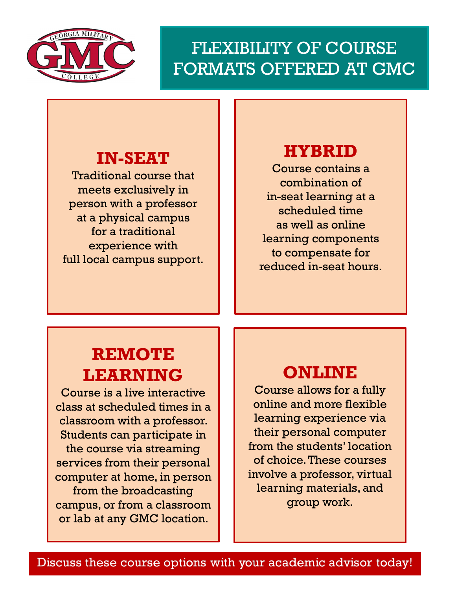

### $\overline{\phantom{a}}$  ${\rm FLEXIBILITY}$  OF COURSE  $||$ Martinez, Georgia 30907  $\,$  FORMATS OFFERED AT GMC  $\,$   $\,$

# **IN-SEAT**

Traditional course that meets exclusively in person with a professor at a physical campus for a traditional experience with full local campus support.

# **HYBRID**

Course contains a combination of in-seat learning at a scheduled time as well as online learning components to compensate for reduced in-seat hours.

# **REMOTE LEARNING**

Course is a live interactive class at scheduled times in a classroom with a professor. Students can participate in the course via streaming services from their personal computer at home, in person from the broadcasting campus, or from a classroom or lab at any GMC location.

# **ONLINE**

Course allows for a fully online and more flexible learning experience via their personal computer from the students' location of choice. These courses involve a professor, virtual learning materials, and group work.

Discuss these course options with your academic advisor today!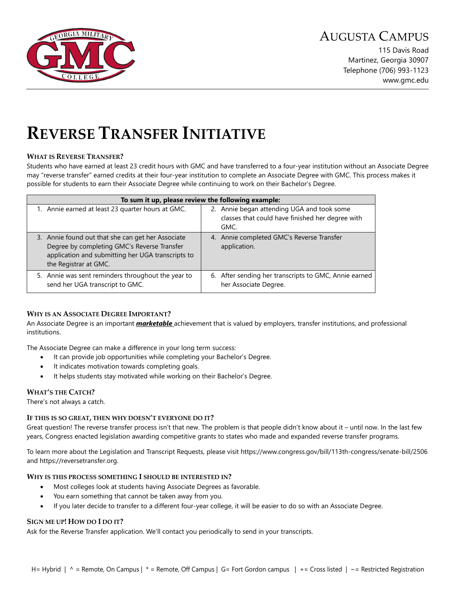

115 Davis Road Martinez, Georgia 30907 Telephone (706) 993-1123 www.gmc.edu

# **REVERSE TRANSFER INITIATIVE**

#### **WHAT IS REVERSE TRANSFER?**

Students who have earned at least 23 credit hours with GMC and have transferred to a four-year institution without an Associate Degree may "reverse transfer" earned credits at their four-year institution to complete an Associate Degree with GMC. This process makes it possible for students to earn their Associate Degree while continuing to work on their Bachelor's Degree.

|                                                                                                                                                                                | To sum it up, please review the following example:                                                     |
|--------------------------------------------------------------------------------------------------------------------------------------------------------------------------------|--------------------------------------------------------------------------------------------------------|
| 1. Annie earned at least 23 quarter hours at GMC.                                                                                                                              | 2. Annie began attending UGA and took some<br>classes that could have finished her degree with<br>GMC. |
| 3. Annie found out that she can get her Associate<br>Degree by completing GMC's Reverse Transfer<br>application and submitting her UGA transcripts to<br>the Registrar at GMC. | 4. Annie completed GMC's Reverse Transfer<br>application.                                              |
| 5. Annie was sent reminders throughout the year to<br>send her UGA transcript to GMC.                                                                                          | 6. After sending her transcripts to GMC, Annie earned<br>her Associate Degree.                         |

#### **WHY IS AN ASSOCIATE DEGREE IMPORTANT?**

An Associate Degree is an important *marketable* achievement that is valued by employers, transfer institutions, and professional institutions.

The Associate Degree can make a difference in your long term success:

- It can provide job opportunities while completing your Bachelor's Degree.
- It indicates motivation towards completing goals.
- It helps students stay motivated while working on their Bachelor's Degree.

#### **WHAT'S THE CATCH?**

There's not always a catch.

#### **IF THIS IS SO GREAT, THEN WHY DOESN'T EVERYONE DO IT?**

Great question! The reverse transfer process isn't that new. The problem is that people didn't know about it – until now. In the last few years, Congress enacted legislation awarding competitive grants to states who made and expanded reverse transfer programs.

To learn more about the Legislation and Transcript Requests, please visit https://www.congress.gov/bill/113th-congress/senate-bill/2506 and https://reversetransfer.org.

#### **WHY IS THIS PROCESS SOMETHING I SHOULD BE INTERESTED IN?**

- Most colleges look at students having Associate Degrees as favorable.
- You earn something that cannot be taken away from you.
- If you later decide to transfer to a different four-year college, it will be easier to do so with an Associate Degree.

#### **SIGN ME UP! HOW DO I DO IT?**

Ask for the Reverse Transfer application. We'll contact you periodically to send in your transcripts.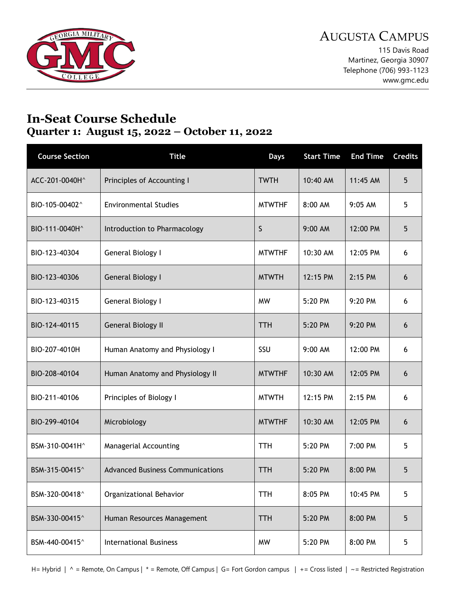

115 Davis Road Martinez, Georgia 30907 Telephone (706) 993-1123 www.gmc.edu

## **In-Seat Course Schedule Quarter 1: August 15, 2022 – October 11, 2022**

| <b>Course Section</b> | <b>Title</b>                            | <b>Days</b>   | <b>Start Time</b> | <b>End Time</b> | <b>Credits</b> |
|-----------------------|-----------------------------------------|---------------|-------------------|-----------------|----------------|
| ACC-201-0040H^        | Principles of Accounting I              | <b>TWTH</b>   | 10:40 AM          | 11:45 AM        | 5              |
| BIO-105-00402^        | <b>Environmental Studies</b>            | <b>MTWTHF</b> | 8:00 AM           | 9:05 AM         | 5              |
| BIO-111-0040H^        | Introduction to Pharmacology            | S             | 9:00 AM           | 12:00 PM        | 5              |
| BIO-123-40304         | General Biology I                       | <b>MTWTHF</b> | 10:30 AM          | 12:05 PM        | 6              |
| BIO-123-40306         | General Biology I                       | <b>MTWTH</b>  | 12:15 PM          | 2:15 PM         | 6              |
| BIO-123-40315         | General Biology I                       | <b>MW</b>     | 5:20 PM           | 9:20 PM         | 6              |
| BIO-124-40115         | <b>General Biology II</b>               | TTH           | 5:20 PM           | 9:20 PM         | 6              |
| BIO-207-4010H         | Human Anatomy and Physiology I          | SSU           | $9:00$ AM         | 12:00 PM        | 6              |
| BIO-208-40104         | Human Anatomy and Physiology II         | <b>MTWTHF</b> | 10:30 AM          | 12:05 PM        | 6              |
| BIO-211-40106         | Principles of Biology I                 | <b>MTWTH</b>  | 12:15 PM          | 2:15 PM         | 6              |
| BIO-299-40104         | Microbiology                            | <b>MTWTHF</b> | 10:30 AM          | 12:05 PM        | 6              |
| BSM-310-0041H^        | Managerial Accounting                   | <b>TTH</b>    | 5:20 PM           | 7:00 PM         | 5              |
| BSM-315-00415^        | <b>Advanced Business Communications</b> | <b>TTH</b>    | 5:20 PM           | 8:00 PM         | 5              |
| BSM-320-00418^        | Organizational Behavior                 | <b>TTH</b>    | 8:05 PM           | 10:45 PM        | 5              |
| BSM-330-00415^        | Human Resources Management              | <b>TTH</b>    | 5:20 PM           | 8:00 PM         | 5              |
| BSM-440-00415^        | <b>International Business</b>           | <b>MW</b>     | 5:20 PM           | 8:00 PM         | 5              |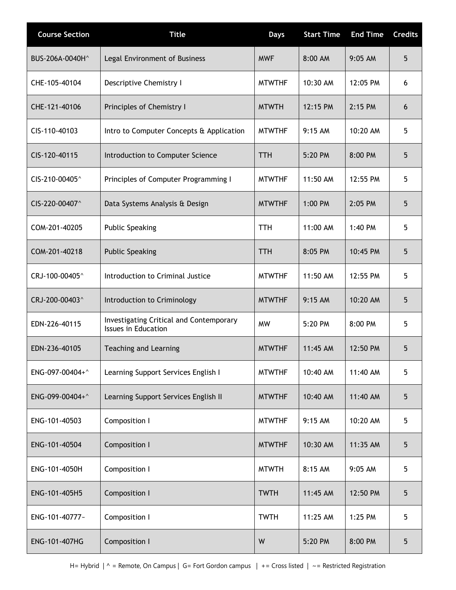| <b>Course Section</b> | <b>Title</b>                                                          | <b>Days</b>   | <b>Start Time</b> | <b>End Time</b> | <b>Credits</b> |
|-----------------------|-----------------------------------------------------------------------|---------------|-------------------|-----------------|----------------|
| BUS-206A-0040H^       | Legal Environment of Business                                         | <b>MWF</b>    | 8:00 AM           | 9:05 AM         | 5              |
| CHE-105-40104         | Descriptive Chemistry I                                               | <b>MTWTHF</b> | 10:30 AM          | 12:05 PM        | 6              |
| CHE-121-40106         | Principles of Chemistry I                                             | <b>MTWTH</b>  | 12:15 PM          | $2:15$ PM       | 6              |
| CIS-110-40103         | Intro to Computer Concepts & Application                              | <b>MTWTHF</b> | 9:15 AM           | 10:20 AM        | 5              |
| CIS-120-40115         | Introduction to Computer Science                                      | <b>TTH</b>    | 5:20 PM           | 8:00 PM         | 5              |
| CIS-210-00405^        | Principles of Computer Programming I                                  | <b>MTWTHF</b> | 11:50 AM          | 12:55 PM        | 5              |
| CIS-220-00407^        | Data Systems Analysis & Design                                        | <b>MTWTHF</b> | 1:00 PM           | 2:05 PM         | 5              |
| COM-201-40205         | <b>Public Speaking</b>                                                | <b>TTH</b>    | 11:00 AM          | 1:40 PM         | 5              |
| COM-201-40218         | <b>Public Speaking</b>                                                | <b>TTH</b>    | 8:05 PM           | 10:45 PM        | 5              |
| CRJ-100-00405^        | Introduction to Criminal Justice                                      | <b>MTWTHF</b> | 11:50 AM          | 12:55 PM        | 5              |
| CRJ-200-00403^        | Introduction to Criminology                                           | <b>MTWTHF</b> | 9:15 AM           | 10:20 AM        | 5              |
| EDN-226-40115         | <b>Investigating Critical and Contemporary</b><br>Issues in Education | <b>MW</b>     | 5:20 PM           | 8:00 PM         | 5              |
| EDN-236-40105         | Teaching and Learning                                                 | <b>MTWTHF</b> | 11:45 AM          | 12:50 PM        | 5              |
| ENG-097-00404+^       | Learning Support Services English I                                   | <b>MTWTHF</b> | 10:40 AM          | 11:40 AM        | 5              |
| ENG-099-00404+^       | Learning Support Services English II                                  | <b>MTWTHF</b> | 10:40 AM          | 11:40 AM        | 5              |
| ENG-101-40503         | Composition I                                                         | <b>MTWTHF</b> | 9:15 AM           | 10:20 AM        | 5              |
| ENG-101-40504         | Composition I                                                         | <b>MTWTHF</b> | 10:30 AM          | 11:35 AM        | 5              |
| ENG-101-4050H         | Composition I                                                         | <b>MTWTH</b>  | 8:15 AM           | $9:05$ AM       | 5              |
| ENG-101-405H5         | Composition I                                                         | <b>TWTH</b>   | 11:45 AM          | 12:50 PM        | 5              |
| ENG-101-40777~        | Composition I                                                         | <b>TWTH</b>   | 11:25 AM          | 1:25 PM         | 5              |
| ENG-101-407HG         | Composition I                                                         | W             | 5:20 PM           | 8:00 PM         | 5              |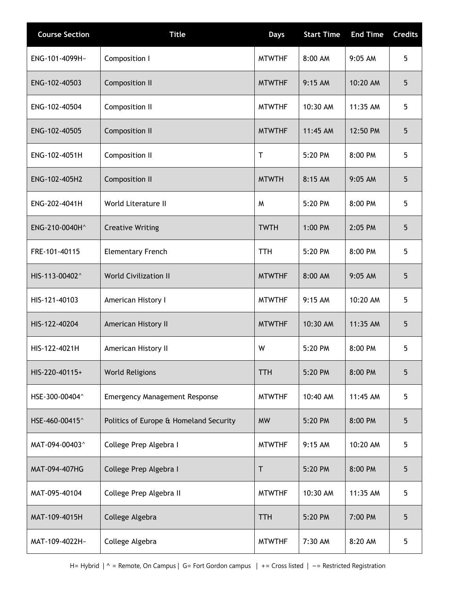| <b>Course Section</b> | <b>Title</b>                           | <b>Days</b>   | <b>Start Time</b> | <b>End Time</b> | <b>Credits</b> |
|-----------------------|----------------------------------------|---------------|-------------------|-----------------|----------------|
| ENG-101-4099H~        | Composition I                          | <b>MTWTHF</b> | 8:00 AM           | 9:05 AM         | 5              |
| ENG-102-40503         | Composition II                         | <b>MTWTHF</b> | 9:15 AM           | 10:20 AM        | 5              |
| ENG-102-40504         | Composition II                         | <b>MTWTHF</b> | 10:30 AM          | 11:35 AM        | 5              |
| ENG-102-40505         | Composition II                         | <b>MTWTHF</b> | 11:45 AM          | 12:50 PM        | 5              |
| ENG-102-4051H         | Composition II                         | Τ             | 5:20 PM           | 8:00 PM         | 5              |
| ENG-102-405H2         | Composition II                         | <b>MTWTH</b>  | 8:15 AM           | 9:05 AM         | 5              |
| ENG-202-4041H         | World Literature II                    | M             | 5:20 PM           | 8:00 PM         | 5              |
| ENG-210-0040H^        | <b>Creative Writing</b>                | <b>TWTH</b>   | 1:00 PM           | 2:05 PM         | 5              |
| FRE-101-40115         | <b>Elementary French</b>               | <b>TTH</b>    | 5:20 PM           | 8:00 PM         | 5              |
| HIS-113-00402^        | <b>World Civilization II</b>           | <b>MTWTHF</b> | 8:00 AM           | 9:05 AM         | 5              |
| HIS-121-40103         | American History I                     | <b>MTWTHF</b> | 9:15 AM           | 10:20 AM        | 5              |
| HIS-122-40204         | American History II                    | <b>MTWTHF</b> | 10:30 AM          | 11:35 AM        | 5              |
| HIS-122-4021H         | American History II                    | W             | 5:20 PM           | 8:00 PM         | 5              |
| HIS-220-40115+        | <b>World Religions</b>                 | <b>TTH</b>    | 5:20 PM           | 8:00 PM         | 5              |
| HSE-300-00404^        | <b>Emergency Management Response</b>   | <b>MTWTHF</b> | 10:40 AM          | 11:45 AM        | 5              |
| HSE-460-00415^        | Politics of Europe & Homeland Security | <b>MW</b>     | 5:20 PM           | 8:00 PM         | 5              |
| MAT-094-00403^        | College Prep Algebra I                 | <b>MTWTHF</b> | 9:15 AM           | 10:20 AM        | 5              |
| MAT-094-407HG         | College Prep Algebra I                 | Τ             | 5:20 PM           | 8:00 PM         | 5              |
| MAT-095-40104         | College Prep Algebra II                | <b>MTWTHF</b> | 10:30 AM          | 11:35 AM        | 5              |
| MAT-109-4015H         | College Algebra                        | TTH           | 5:20 PM           | 7:00 PM         | 5              |
| MAT-109-4022H~        | College Algebra                        | <b>MTWTHF</b> | 7:30 AM           | 8:20 AM         | 5              |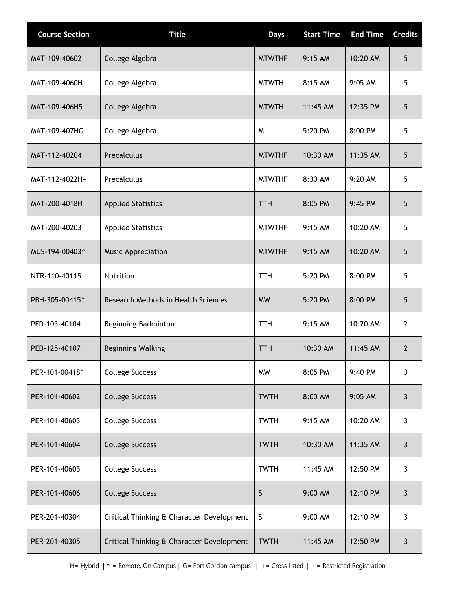| <b>Course Section</b> | <b>Title</b>                              | <b>Days</b>   | <b>Start Time</b> | <b>End Time</b> | <b>Credits</b> |
|-----------------------|-------------------------------------------|---------------|-------------------|-----------------|----------------|
| MAT-109-40602         | College Algebra                           | <b>MTWTHF</b> | 9:15 AM           | 10:20 AM        | 5              |
| MAT-109-4060H         | College Algebra                           | <b>MTWTH</b>  | 8:15 AM           | 9:05 AM         | 5              |
| MAT-109-406H5         | College Algebra                           | <b>MTWTH</b>  | 11:45 AM          | 12:35 PM        | 5              |
| MAT-109-407HG         | College Algebra                           | W             | 5:20 PM           | 8:00 PM         | 5              |
| MAT-112-40204         | Precalculus                               | <b>MTWTHF</b> | 10:30 AM          | 11:35 AM        | 5              |
| MAT-112-4022H~        | Precalculus                               | <b>MTWTHF</b> | 8:30 AM           | 9:20 AM         | 5              |
| MAT-200-4018H         | <b>Applied Statistics</b>                 | <b>TTH</b>    | 8:05 PM           | 9:45 PM         | 5              |
| MAT-200-40203         | <b>Applied Statistics</b>                 | <b>MTWTHF</b> | $9:15$ AM         | 10:20 AM        | 5              |
| MUS-194-00403^        | Music Appreciation                        | <b>MTWTHF</b> | 9:15 AM           | 10:20 AM        | 5              |
| NTR-110-40115         | Nutrition                                 | TTH           | 5:20 PM           | 8:00 PM         | 5              |
| PBH-305-00415^        | Research Methods in Health Sciences       | <b>MW</b>     | 5:20 PM           | 8:00 PM         | 5              |
| PED-103-40104         | Beginning Badminton                       | TTH           | 9:15 AM           | 10:20 AM        | $\mathbf{2}$   |
| PED-125-40107         | Beginning Walking                         | <b>TTH</b>    | 10:30 AM          | 11:45 AM        | $\overline{2}$ |
| PER-101-00418^        | <b>College Success</b>                    | <b>MW</b>     | 8:05 PM           | 9:40 PM         | $\mathbf{3}$   |
| PER-101-40602         | <b>College Success</b>                    | <b>TWTH</b>   | 8:00 AM           | 9:05 AM         | 3              |
| PER-101-40603         | <b>College Success</b>                    | <b>TWTH</b>   | 9:15 AM           | 10:20 AM        | 3              |
| PER-101-40604         | <b>College Success</b>                    | <b>TWTH</b>   | 10:30 AM          | 11:35 AM        | $\mathbf{3}$   |
| PER-101-40605         | <b>College Success</b>                    | <b>TWTH</b>   | 11:45 AM          | 12:50 PM        | $\mathbf{3}$   |
| PER-101-40606         | <b>College Success</b>                    | S             | 9:00 AM           | 12:10 PM        | $\mathbf{3}$   |
| PER-201-40304         | Critical Thinking & Character Development | S             | 9:00 AM           | 12:10 PM        | 3              |
| PER-201-40305         | Critical Thinking & Character Development | <b>TWTH</b>   | 11:45 AM          | 12:50 PM        | 3              |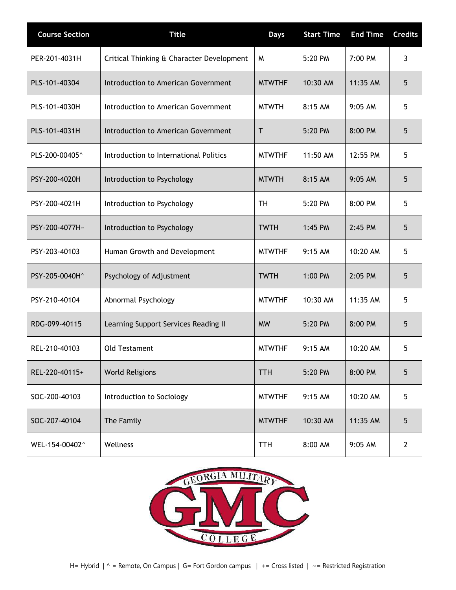| <b>Course Section</b> | <b>Title</b>                              | <b>Days</b>   | <b>Start Time</b> | <b>End Time</b> | <b>Credits</b> |
|-----------------------|-------------------------------------------|---------------|-------------------|-----------------|----------------|
| PER-201-4031H         | Critical Thinking & Character Development | M             | 5:20 PM           | 7:00 PM         | 3              |
| PLS-101-40304         | Introduction to American Government       | <b>MTWTHF</b> | 10:30 AM          | 11:35 AM        | 5              |
| PLS-101-4030H         | Introduction to American Government       | <b>MTWTH</b>  | 8:15 AM           | 9:05 AM         | 5              |
| PLS-101-4031H         | Introduction to American Government       | Τ             | 5:20 PM           | 8:00 PM         | 5              |
| PLS-200-00405^        | Introduction to International Politics    | <b>MTWTHF</b> | 11:50 AM          | 12:55 PM        | 5              |
| PSY-200-4020H         | Introduction to Psychology                | <b>MTWTH</b>  | 8:15 AM           | 9:05 AM         | 5              |
| PSY-200-4021H         | Introduction to Psychology                | TН            | 5:20 PM           | 8:00 PM         | 5              |
| PSY-200-4077H~        | Introduction to Psychology                | <b>TWTH</b>   | 1:45 PM           | $2:45$ PM       | 5              |
| PSY-203-40103         | Human Growth and Development              | <b>MTWTHF</b> | 9:15 AM           | 10:20 AM        | 5              |
| PSY-205-0040H^        | Psychology of Adjustment                  | <b>TWTH</b>   | 1:00 PM           | 2:05 PM         | 5              |
| PSY-210-40104         | Abnormal Psychology                       | <b>MTWTHF</b> | 10:30 AM          | 11:35 AM        | 5              |
| RDG-099-40115         | Learning Support Services Reading II      | <b>MW</b>     | 5:20 PM           | 8:00 PM         | 5              |
| REL-210-40103         | <b>Old Testament</b>                      | <b>MTWTHF</b> | 9:15 AM           | 10:20 AM        | 5              |
| REL-220-40115+        | <b>World Religions</b>                    | <b>TTH</b>    | 5:20 PM           | 8:00 PM         | 5              |
| SOC-200-40103         | Introduction to Sociology                 | <b>MTWTHF</b> | 9:15 AM           | 10:20 AM        | 5              |
| SOC-207-40104         | The Family                                | <b>MTWTHF</b> | 10:30 AM          | 11:35 AM        | 5              |
| WEL-154-00402^        | Wellness                                  | TTH           | 8:00 AM           | 9:05 AM         | $\mathbf{2}$   |

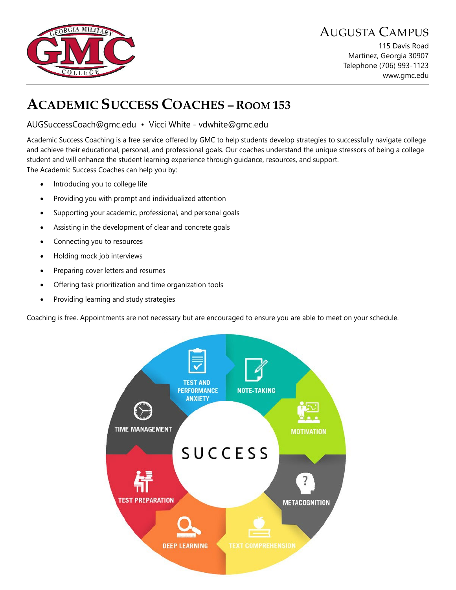

115 Davis Road Martinez, Georgia 30907 Telephone (706) 993-1123 www.gmc.edu

# **ACADEMIC SUCCESS COACHES – ROOM 153**

#### AUGSuccessCoach@gmc.edu • Vicci White - vdwhite@gmc.edu

Academic Success Coaching is a free service offered by GMC to help students develop strategies to successfully navigate college and achieve their educational, personal, and professional goals. Our coaches understand the unique stressors of being a college student and will enhance the student learning experience through guidance, resources, and support. The Academic Success Coaches can help you by:

- Introducing you to college life
- Providing you with prompt and individualized attention
- Supporting your academic, professional, and personal goals
- Assisting in the development of clear and concrete goals
- Connecting you to resources
- Holding mock job interviews
- Preparing cover letters and resumes
- Offering task prioritization and time organization tools
- Providing learning and study strategies

Coaching is free. Appointments are not necessary but are encouraged to ensure you are able to meet on your schedule.